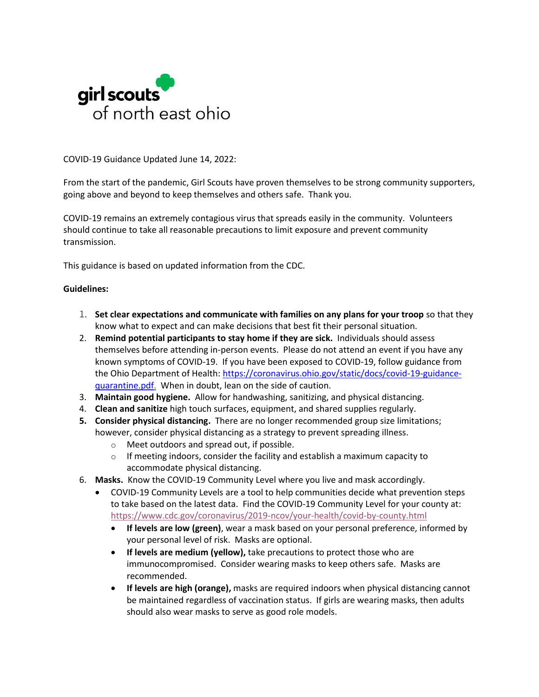

COVID-19 Guidance Updated June 14, 2022:

From the start of the pandemic, Girl Scouts have proven themselves to be strong community supporters, going above and beyond to keep themselves and others safe. Thank you.

COVID-19 remains an extremely contagious virus that spreads easily in the community. Volunteers should continue to take all reasonable precautions to limit exposure and prevent community transmission.

This guidance is based on updated information from the CDC.

# **Guidelines:**

- 1. **Set clear expectations and communicate with families on any plans for your troop** so that they know what to expect and can make decisions that best fit their personal situation.
- 2. **Remind potential participants to stay home if they are sick.** Individuals should assess themselves before attending in-person events. Please do not attend an event if you have any known symptoms of COVID-19. If you have been exposed to COVID-19, follow guidance from the Ohio Department of Health: [https://coronavirus.ohio.gov/static/docs/covid-19-guidance](https://coronavirus.ohio.gov/static/docs/covid-19-guidance-quarantine.pdf)[quarantine.pdf.](https://coronavirus.ohio.gov/static/docs/covid-19-guidance-quarantine.pdf) When in doubt, lean on the side of caution.
- 3. **Maintain good hygiene.** Allow for handwashing, sanitizing, and physical distancing.
- 4. **Clean and sanitize** high touch surfaces, equipment, and shared supplies regularly.
- **5. Consider physical distancing.** There are no longer recommended group size limitations; however, consider physical distancing as a strategy to prevent spreading illness.
	- o Meet outdoors and spread out, if possible.
	- $\circ$  If meeting indoors, consider the facility and establish a maximum capacity to accommodate physical distancing.
- 6. **Masks.** Know the COVID-19 Community Level where you live and mask accordingly.
	- [COVID-19 Community Levels](https://www.cdc.gov/coronavirus/2019-ncov/your-health/covid-by-county.html) are a tool to help communities decide what prevention steps to take based on the latest data. Find the COVID-19 Community Level for your county at: <https://www.cdc.gov/coronavirus/2019-ncov/your-health/covid-by-county.html>
		- **If levels are low (green)**, wear a mask based on your personal preference, informed by your personal level of risk. Masks are optional.
		- **If levels are medium (yellow),** take precautions to protect those who are immunocompromised. Consider wearing masks to keep others safe. Masks are recommended.
		- **If levels are high (orange),** masks are required indoors when physical distancing cannot be maintained regardless of vaccination status. If girls are wearing masks, then adults should also wear masks to serve as good role models.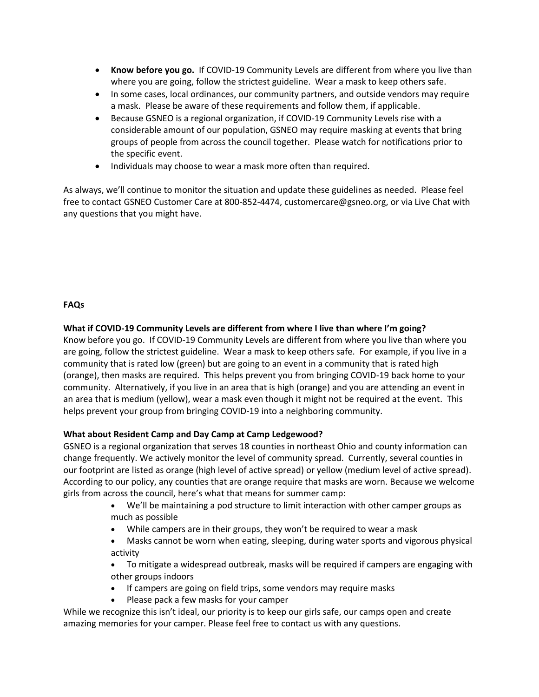- **Know before you go.** If COVID-19 Community Levels are different from where you live than where you are going, follow the strictest guideline. Wear a mask to keep others safe.
- In some cases, local ordinances, our community partners, and outside vendors may require a mask. Please be aware of these requirements and follow them, if applicable.
- Because GSNEO is a regional organization, if COVID-19 Community Levels rise with a considerable amount of our population, GSNEO may require masking at events that bring groups of people from across the council together. Please watch for notifications prior to the specific event.
- Individuals may choose to wear a mask more often than required.

As always, we'll continue to monitor the situation and update these guidelines as needed. Please feel free to contact GSNEO Customer Care at 800-852-4474, [customercare@gsneo.org,](mailto:customercare@gsneo.org) or via Live Chat with any questions that you might have.

# **FAQs**

# **What if COVID-19 Community Levels are different from where I live than where I'm going?**

Know before you go. If COVID-19 Community Levels are different from where you live than where you are going, follow the strictest guideline. Wear a mask to keep others safe. For example, if you live in a community that is rated low (green) but are going to an event in a community that is rated high (orange), then masks are required. This helps prevent you from bringing COVID-19 back home to your community. Alternatively, if you live in an area that is high (orange) and you are attending an event in an area that is medium (yellow), wear a mask even though it might not be required at the event. This helps prevent your group from bringing COVID-19 into a neighboring community.

## **What about Resident Camp and Day Camp at Camp Ledgewood?**

GSNEO is a regional organization that serves 18 counties in northeast Ohio and county information can change frequently. We actively monitor the level of community spread. Currently, several counties in our footprint are listed as orange (high level of active spread) or yellow (medium level of active spread). According to our policy, any counties that are orange require that masks are worn. Because we welcome girls from across the council, here's what that means for summer camp:

- We'll be maintaining a pod structure to limit interaction with other camper groups as much as possible
- While campers are in their groups, they won't be required to wear a mask
- Masks cannot be worn when eating, sleeping, during water sports and vigorous physical activity
- To mitigate a widespread outbreak, masks will be required if campers are engaging with other groups indoors
- If campers are going on field trips, some vendors may require masks
- Please pack a few masks for your camper

While we recognize this isn't ideal, our priority is to keep our girls safe, our camps open and create amazing memories for your camper. Please feel free to contact us with any questions.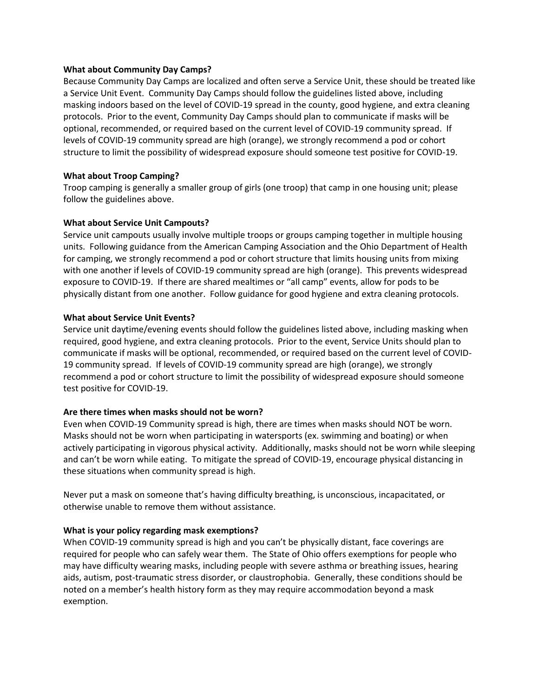#### **What about Community Day Camps?**

Because Community Day Camps are localized and often serve a Service Unit, these should be treated like a Service Unit Event. Community Day Camps should follow the guidelines listed above, including masking indoors based on the level of COVID-19 spread in the county, good hygiene, and extra cleaning protocols. Prior to the event, Community Day Camps should plan to communicate if masks will be optional, recommended, or required based on the current level of COVID-19 community spread. If levels of COVID-19 community spread are high (orange), we strongly recommend a pod or cohort structure to limit the possibility of widespread exposure should someone test positive for COVID-19.

## **What about Troop Camping?**

Troop camping is generally a smaller group of girls (one troop) that camp in one housing unit; please follow the guidelines above.

## **What about Service Unit Campouts?**

Service unit campouts usually involve multiple troops or groups camping together in multiple housing units. Following guidance from the American Camping Association and the Ohio Department of Health for camping, we strongly recommend a pod or cohort structure that limits housing units from mixing with one another if levels of COVID-19 community spread are high (orange). This prevents widespread exposure to COVID-19. If there are shared mealtimes or "all camp" events, allow for pods to be physically distant from one another. Follow guidance for good hygiene and extra cleaning protocols.

#### **What about Service Unit Events?**

Service unit daytime/evening events should follow the guidelines listed above, including masking when required, good hygiene, and extra cleaning protocols. Prior to the event, Service Units should plan to communicate if masks will be optional, recommended, or required based on the current level of COVID-19 community spread. If levels of COVID-19 community spread are high (orange), we strongly recommend a pod or cohort structure to limit the possibility of widespread exposure should someone test positive for COVID-19.

## **Are there times when masks should not be worn?**

Even when COVID-19 Community spread is high, there are times when masks should NOT be worn. Masks should not be worn when participating in watersports (ex. swimming and boating) or when actively participating in vigorous physical activity. Additionally, masks should not be worn while sleeping and can't be worn while eating. To mitigate the spread of COVID-19, encourage physical distancing in these situations when community spread is high.

Never put a mask on someone that's having difficulty breathing, is unconscious, incapacitated, or otherwise unable to remove them without assistance.

## **What is your policy regarding mask exemptions?**

When COVID-19 community spread is high and you can't be physically distant, face coverings are required for people who can safely wear them. The State of Ohio offers exemptions for people who may have difficulty wearing masks, including people with severe asthma or breathing issues, hearing aids, autism, post-traumatic stress disorder, or claustrophobia. Generally, these conditions should be noted on a member's health history form as they may require accommodation beyond a mask exemption.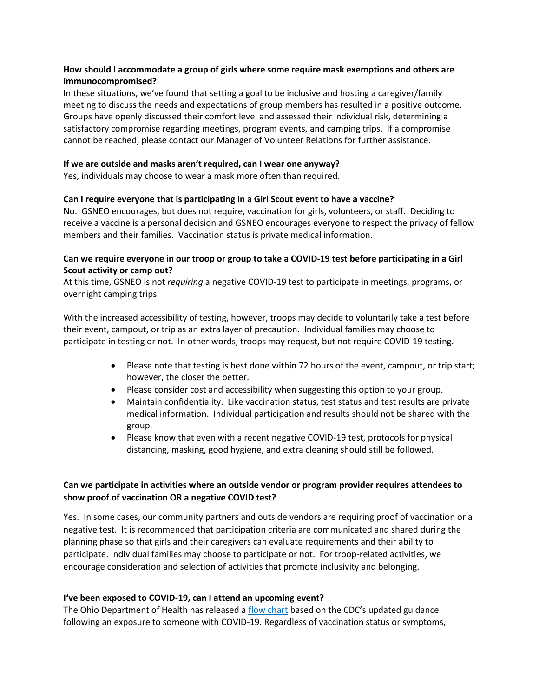# **How should I accommodate a group of girls where some require mask exemptions and others are immunocompromised?**

In these situations, we've found that setting a goal to be inclusive and hosting a caregiver/family meeting to discuss the needs and expectations of group members has resulted in a positive outcome. Groups have openly discussed their comfort level and assessed their individual risk, determining a satisfactory compromise regarding meetings, program events, and camping trips. If a compromise cannot be reached, please contact our Manager of Volunteer Relations for further assistance.

#### **If we are outside and masks aren't required, can I wear one anyway?**

Yes, individuals may choose to wear a mask more often than required.

## **Can I require everyone that is participating in a Girl Scout event to have a vaccine?**

No. GSNEO encourages, but does not require, vaccination for girls, volunteers, or staff. Deciding to receive a vaccine is a personal decision and GSNEO encourages everyone to respect the privacy of fellow members and their families. Vaccination status is private medical information.

# **Can we require everyone in our troop or group to take a COVID-19 test before participating in a Girl Scout activity or camp out?**

At this time, GSNEO is not *requiring* a negative COVID-19 test to participate in meetings, programs, or overnight camping trips.

With the increased accessibility of testing, however, troops may decide to voluntarily take a test before their event, campout, or trip as an extra layer of precaution. Individual families may choose to participate in testing or not. In other words, troops may request, but not require COVID-19 testing.

- Please note that testing is best done within 72 hours of the event, campout, or trip start; however, the closer the better.
- Please consider cost and accessibility when suggesting this option to your group.
- Maintain confidentiality. Like vaccination status, test status and test results are private medical information. Individual participation and results should not be shared with the group.
- Please know that even with a recent negative COVID-19 test, protocols for physical distancing, masking, good hygiene, and extra cleaning should still be followed.

# **Can we participate in activities where an outside vendor or program provider requires attendees to show proof of vaccination OR a negative COVID test?**

Yes. In some cases, our community partners and outside vendors are requiring proof of vaccination or a negative test. It is recommended that participation criteria are communicated and shared during the planning phase so that girls and their caregivers can evaluate requirements and their ability to participate. Individual families may choose to participate or not. For troop-related activities, we encourage consideration and selection of activities that promote inclusivity and belonging.

## **I've been exposed to COVID-19, can I attend an upcoming event?**

The Ohio Department of Health has released a flow [chart](https://coronavirus.ohio.gov/static/docs/covid-19-guidance-quarantine.pdf) based on the CDC's updated guidance following an exposure to someone with COVID-19. Regardless of vaccination status or symptoms,